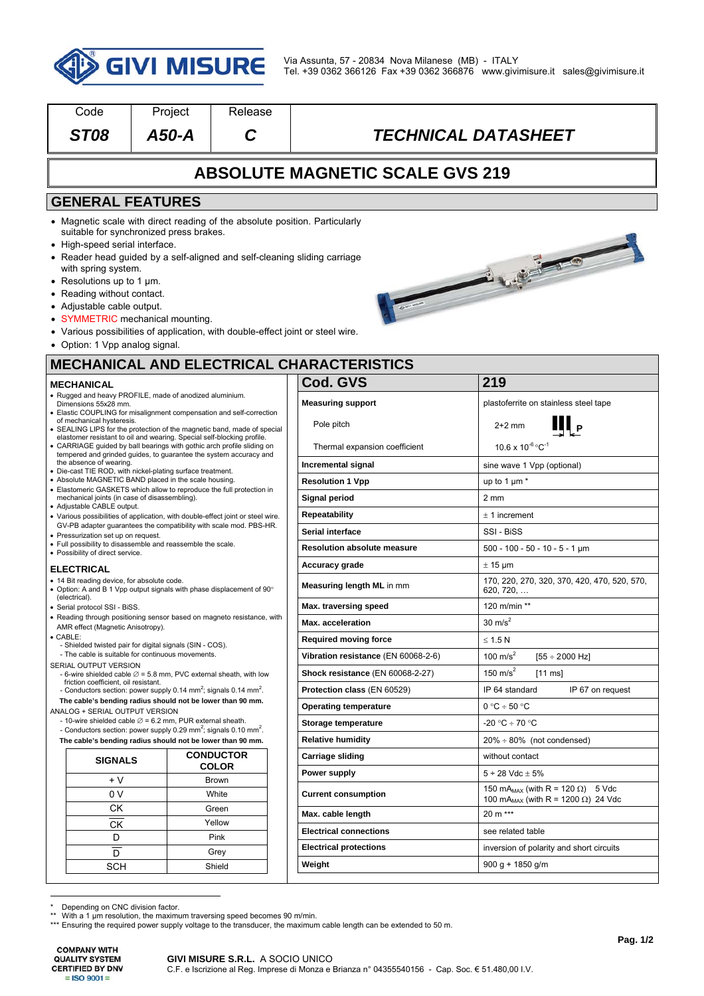

| Code                                                                                                                                                                                                                                                                                                                                                                                                                                                                                                                                                                              | Project                                                                                                                                                                                                                                                                                                                    | Release      |  |                                                  |                                                                                                                |  |  |  |  |
|-----------------------------------------------------------------------------------------------------------------------------------------------------------------------------------------------------------------------------------------------------------------------------------------------------------------------------------------------------------------------------------------------------------------------------------------------------------------------------------------------------------------------------------------------------------------------------------|----------------------------------------------------------------------------------------------------------------------------------------------------------------------------------------------------------------------------------------------------------------------------------------------------------------------------|--------------|--|--------------------------------------------------|----------------------------------------------------------------------------------------------------------------|--|--|--|--|
| <b>ST08</b>                                                                                                                                                                                                                                                                                                                                                                                                                                                                                                                                                                       | A50-A                                                                                                                                                                                                                                                                                                                      | С            |  |                                                  | <b>TECHNICAL DATASHEET</b>                                                                                     |  |  |  |  |
| <b>ABSOLUTE MAGNETIC SCALE GVS 219</b>                                                                                                                                                                                                                                                                                                                                                                                                                                                                                                                                            |                                                                                                                                                                                                                                                                                                                            |              |  |                                                  |                                                                                                                |  |  |  |  |
| <b>GENERAL FEATURES</b>                                                                                                                                                                                                                                                                                                                                                                                                                                                                                                                                                           |                                                                                                                                                                                                                                                                                                                            |              |  |                                                  |                                                                                                                |  |  |  |  |
| • High-speed serial interface.<br>with spring system.<br>• Resolutions up to 1 $\mu$ m.<br>• Reading without contact.<br>• Adjustable cable output.<br>• Option: 1 Vpp analog signal.                                                                                                                                                                                                                                                                                                                                                                                             | • Magnetic scale with direct reading of the absolute position. Particularly<br>suitable for synchronized press brakes.<br>• Reader head guided by a self-aligned and self-cleaning sliding carriage<br>• SYMMETRIC mechanical mounting.<br>• Various possibilities of application, with double-effect joint or steel wire. |              |  |                                                  | Contraction of the Contract of the                                                                             |  |  |  |  |
|                                                                                                                                                                                                                                                                                                                                                                                                                                                                                                                                                                                   |                                                                                                                                                                                                                                                                                                                            |              |  | <b>MECHANICAL AND ELECTRICAL CHARACTERISTICS</b> |                                                                                                                |  |  |  |  |
| <b>MECHANICAL</b>                                                                                                                                                                                                                                                                                                                                                                                                                                                                                                                                                                 |                                                                                                                                                                                                                                                                                                                            |              |  | Cod. GVS                                         | 219                                                                                                            |  |  |  |  |
| • Rugged and heavy PROFILE, made of anodized aluminium.<br>Dimensions 55x28 mm.<br>• Elastic COUPLING for misalignment compensation and self-correction<br>of mechanical hysteresis.<br>• SEALING LIPS for the protection of the magnetic band, made of special<br>elastomer resistant to oil and wearing. Special self-blocking profile.<br>• CARRIAGE guided by ball bearings with gothic arch profile sliding on<br>tempered and grinded guides, to guarantee the system accuracy and<br>the absence of wearing.<br>· Die-cast TIE ROD, with nickel-plating surface treatment. |                                                                                                                                                                                                                                                                                                                            |              |  | <b>Measuring support</b><br>Pole pitch           | plastoferrite on stainless steel tape<br>$2+2$ mm                                                              |  |  |  |  |
|                                                                                                                                                                                                                                                                                                                                                                                                                                                                                                                                                                                   |                                                                                                                                                                                                                                                                                                                            |              |  | Thermal expansion coefficient                    | $10.6 \times 10^{-6}$ °C <sup>-1</sup>                                                                         |  |  |  |  |
|                                                                                                                                                                                                                                                                                                                                                                                                                                                                                                                                                                                   |                                                                                                                                                                                                                                                                                                                            |              |  | Incremental signal                               | sine wave 1 Vpp (optional)                                                                                     |  |  |  |  |
| • Absolute MAGNETIC BAND placed in the scale housing.                                                                                                                                                                                                                                                                                                                                                                                                                                                                                                                             |                                                                                                                                                                                                                                                                                                                            |              |  | <b>Resolution 1 Vpp</b>                          | up to 1 $\mu$ m $*$                                                                                            |  |  |  |  |
| • Elastomeric GASKETS which allow to reproduce the full protection in<br>mechanical joints (in case of disassembling).                                                                                                                                                                                                                                                                                                                                                                                                                                                            |                                                                                                                                                                                                                                                                                                                            |              |  | Signal period                                    | 2 <sub>mm</sub>                                                                                                |  |  |  |  |
| • Adjustable CABLE output.<br>• Various possibilities of application, with double-effect joint or steel wire.                                                                                                                                                                                                                                                                                                                                                                                                                                                                     |                                                                                                                                                                                                                                                                                                                            |              |  | Repeatability                                    | $± 1$ increment                                                                                                |  |  |  |  |
| GV-PB adapter guarantees the compatibility with scale mod. PBS-HR.                                                                                                                                                                                                                                                                                                                                                                                                                                                                                                                |                                                                                                                                                                                                                                                                                                                            |              |  | Serial interface                                 | SSI - BiSS                                                                                                     |  |  |  |  |
| • Pressurization set up on request.<br>• Full possibility to disassemble and reassemble the scale.                                                                                                                                                                                                                                                                                                                                                                                                                                                                                |                                                                                                                                                                                                                                                                                                                            |              |  | <b>Resolution absolute measure</b>               | $500 - 100 - 50 - 10 - 5 - 1 \mu m$                                                                            |  |  |  |  |
| • Possibility of direct service.<br><b>ELECTRICAL</b>                                                                                                                                                                                                                                                                                                                                                                                                                                                                                                                             |                                                                                                                                                                                                                                                                                                                            |              |  | <b>Accuracy grade</b>                            | $\pm$ 15 µm                                                                                                    |  |  |  |  |
| • 14 Bit reading device, for absolute code.<br>• Option: A and B 1 Vpp output signals with phase displacement of 90°                                                                                                                                                                                                                                                                                                                                                                                                                                                              |                                                                                                                                                                                                                                                                                                                            |              |  | Measuring length ML in mm                        | 170, 220, 270, 320, 370, 420, 470, 520, 570,<br>620, 720,                                                      |  |  |  |  |
| (electrical).<br>· Serial protocol SSI - BiSS.                                                                                                                                                                                                                                                                                                                                                                                                                                                                                                                                    |                                                                                                                                                                                                                                                                                                                            |              |  | Max. traversing speed                            | 120 m/min **                                                                                                   |  |  |  |  |
| • Reading through positioning sensor based on magneto resistance, with<br>AMR effect (Magnetic Anisotropy).                                                                                                                                                                                                                                                                                                                                                                                                                                                                       |                                                                                                                                                                                                                                                                                                                            |              |  | Max. acceleration                                | $30 \text{ m/s}^2$                                                                                             |  |  |  |  |
| $\bullet$ CABLE:                                                                                                                                                                                                                                                                                                                                                                                                                                                                                                                                                                  |                                                                                                                                                                                                                                                                                                                            |              |  | <b>Required moving force</b>                     | $\leq 1.5 N$                                                                                                   |  |  |  |  |
| - Shielded twisted pair for digital signals (SIN - COS).<br>- The cable is suitable for continuous movements.                                                                                                                                                                                                                                                                                                                                                                                                                                                                     |                                                                                                                                                                                                                                                                                                                            |              |  | Vibration resistance (EN 60068-2-6)              | 100 $m/s2$<br>$[55 \div 2000$ Hz]                                                                              |  |  |  |  |
| SERIAL OUTPUT VERSION<br>- 6-wire shielded cable $\varnothing$ = 5.8 mm, PVC external sheath, with low                                                                                                                                                                                                                                                                                                                                                                                                                                                                            |                                                                                                                                                                                                                                                                                                                            |              |  | Shock resistance (EN 60068-2-27)                 | 150 m/s <sup>2</sup><br>$[11 \text{ ms}]$                                                                      |  |  |  |  |
| friction coefficient, oil resistant.<br>- Conductors section: power supply 0.14 mm <sup>2</sup> ; signals 0.14 mm <sup>2</sup> .                                                                                                                                                                                                                                                                                                                                                                                                                                                  |                                                                                                                                                                                                                                                                                                                            |              |  | Protection class (EN 60529)                      | IP 67 on request<br>IP 64 standard                                                                             |  |  |  |  |
|                                                                                                                                                                                                                                                                                                                                                                                                                                                                                                                                                                                   | The cable's bending radius should not be lower than 90 mm.                                                                                                                                                                                                                                                                 |              |  | <b>Operating temperature</b>                     | $0 °C \div 50 °C$                                                                                              |  |  |  |  |
| ANALOG + SERIAL OUTPUT VERSION<br>- 10-wire shielded cable $\varnothing$ = 6.2 mm, PUR external sheath.                                                                                                                                                                                                                                                                                                                                                                                                                                                                           |                                                                                                                                                                                                                                                                                                                            |              |  | Storage temperature                              | -20 °C ÷ 70 °C                                                                                                 |  |  |  |  |
| - Conductors section: power supply 0.29 mm <sup>2</sup> ; signals 0.10 mm <sup>2</sup> .                                                                                                                                                                                                                                                                                                                                                                                                                                                                                          |                                                                                                                                                                                                                                                                                                                            |              |  | <b>Relative humidity</b>                         |                                                                                                                |  |  |  |  |
| The cable's bending radius should not be lower than 90 mm.<br><b>CONDUCTOR</b>                                                                                                                                                                                                                                                                                                                                                                                                                                                                                                    |                                                                                                                                                                                                                                                                                                                            |              |  | $20\% \div 80\%$ (not condensed)                 |                                                                                                                |  |  |  |  |
| <b>SIGNALS</b>                                                                                                                                                                                                                                                                                                                                                                                                                                                                                                                                                                    |                                                                                                                                                                                                                                                                                                                            | <b>COLOR</b> |  | <b>Carriage sliding</b>                          | without contact                                                                                                |  |  |  |  |
| $+V$                                                                                                                                                                                                                                                                                                                                                                                                                                                                                                                                                                              |                                                                                                                                                                                                                                                                                                                            | Brown        |  | Power supply                                     | $5 \div 28$ Vdc $\pm 5\%$                                                                                      |  |  |  |  |
| 0 V                                                                                                                                                                                                                                                                                                                                                                                                                                                                                                                                                                               |                                                                                                                                                                                                                                                                                                                            | White        |  | <b>Current consumption</b>                       | 150 mA <sub>MAX</sub> (with R = 120 $\Omega$ ) 5 Vdc<br>100 mA <sub>MAX</sub> (with R = 1200 $\Omega$ ) 24 Vdc |  |  |  |  |
| СK                                                                                                                                                                                                                                                                                                                                                                                                                                                                                                                                                                                |                                                                                                                                                                                                                                                                                                                            | Green        |  | Max. cable length                                | 20 m ***                                                                                                       |  |  |  |  |
| <b>CK</b>                                                                                                                                                                                                                                                                                                                                                                                                                                                                                                                                                                         |                                                                                                                                                                                                                                                                                                                            | Yellow       |  | <b>Electrical connections</b>                    | see related table                                                                                              |  |  |  |  |
| D                                                                                                                                                                                                                                                                                                                                                                                                                                                                                                                                                                                 |                                                                                                                                                                                                                                                                                                                            | Pink         |  | <b>Electrical protections</b>                    | inversion of polarity and short circuits                                                                       |  |  |  |  |
| D                                                                                                                                                                                                                                                                                                                                                                                                                                                                                                                                                                                 |                                                                                                                                                                                                                                                                                                                            | Grey         |  | Weight                                           | $900 g + 1850 g/m$                                                                                             |  |  |  |  |
| <b>SCH</b><br>Shield                                                                                                                                                                                                                                                                                                                                                                                                                                                                                                                                                              |                                                                                                                                                                                                                                                                                                                            |              |  |                                                  |                                                                                                                |  |  |  |  |

\* Depending on CNC division factor. \*\* With a 1 µm resolution, the maximum traversing speed becomes 90 m/min.

\*\*\* Ensuring the required power supply voltage to the transducer, the maximum cable length can be extended to 50 m.